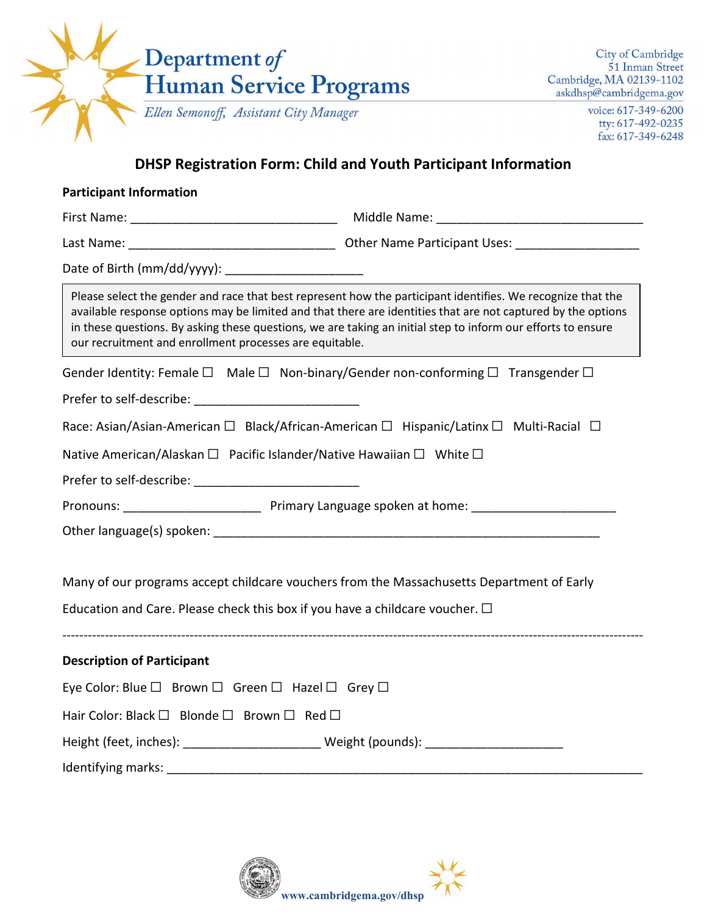| Department of                                                                                                                                                                                                                                                                                                                                                                                          |                                                                        | City of Cambridge<br>51 Inman Street<br>Cambridge, MA 02139-1102 |
|--------------------------------------------------------------------------------------------------------------------------------------------------------------------------------------------------------------------------------------------------------------------------------------------------------------------------------------------------------------------------------------------------------|------------------------------------------------------------------------|------------------------------------------------------------------|
| Human Service Programs                                                                                                                                                                                                                                                                                                                                                                                 |                                                                        | askdhsp@cambridgema.gov                                          |
| Ellen Semonoff, Assistant City Manager                                                                                                                                                                                                                                                                                                                                                                 |                                                                        | voice: 617-349-6200<br>tty: 617-492-0235<br>fax: 617-349-6248    |
|                                                                                                                                                                                                                                                                                                                                                                                                        | <b>DHSP Registration Form: Child and Youth Participant Information</b> |                                                                  |
| <b>Participant Information</b>                                                                                                                                                                                                                                                                                                                                                                         |                                                                        |                                                                  |
|                                                                                                                                                                                                                                                                                                                                                                                                        |                                                                        |                                                                  |
|                                                                                                                                                                                                                                                                                                                                                                                                        |                                                                        |                                                                  |
| Date of Birth (mm/dd/yyyy): _______________________                                                                                                                                                                                                                                                                                                                                                    |                                                                        |                                                                  |
| Please select the gender and race that best represent how the participant identifies. We recognize that the<br>available response options may be limited and that there are identities that are not captured by the options<br>in these questions. By asking these questions, we are taking an initial step to inform our efforts to ensure<br>our recruitment and enrollment processes are equitable. |                                                                        |                                                                  |
| Gender Identity: Female $\square$ Male $\square$ Non-binary/Gender non-conforming $\square$ Transgender $\square$                                                                                                                                                                                                                                                                                      |                                                                        |                                                                  |
| Prefer to self-describe: expansion of the self-describe:                                                                                                                                                                                                                                                                                                                                               |                                                                        |                                                                  |
|                                                                                                                                                                                                                                                                                                                                                                                                        |                                                                        |                                                                  |
|                                                                                                                                                                                                                                                                                                                                                                                                        |                                                                        |                                                                  |
|                                                                                                                                                                                                                                                                                                                                                                                                        |                                                                        |                                                                  |
| Race: Asian/Asian-American $\Box$ Black/African-American $\Box$ Hispanic/Latinx $\Box$ Multi-Racial $\Box$<br>Native American/Alaskan $\Box$ Pacific Islander/Native Hawaiian $\Box$ White $\Box$<br>Prefer to self-describe: expansion of the self-                                                                                                                                                   |                                                                        |                                                                  |
|                                                                                                                                                                                                                                                                                                                                                                                                        |                                                                        |                                                                  |
|                                                                                                                                                                                                                                                                                                                                                                                                        |                                                                        |                                                                  |
| Many of our programs accept childcare vouchers from the Massachusetts Department of Early                                                                                                                                                                                                                                                                                                              |                                                                        |                                                                  |
|                                                                                                                                                                                                                                                                                                                                                                                                        |                                                                        |                                                                  |
|                                                                                                                                                                                                                                                                                                                                                                                                        |                                                                        |                                                                  |
| Education and Care. Please check this box if you have a childcare voucher. $\Box$<br><b>Description of Participant</b><br>Eye Color: Blue $\square$ Brown $\square$ Green $\square$ Hazel $\square$ Grey $\square$                                                                                                                                                                                     |                                                                        |                                                                  |
| Hair Color: Black □ Blonde □ Brown □ Red □                                                                                                                                                                                                                                                                                                                                                             |                                                                        |                                                                  |
| Height (feet, inches): ______________________________Weight (pounds): _____________________________                                                                                                                                                                                                                                                                                                    |                                                                        |                                                                  |

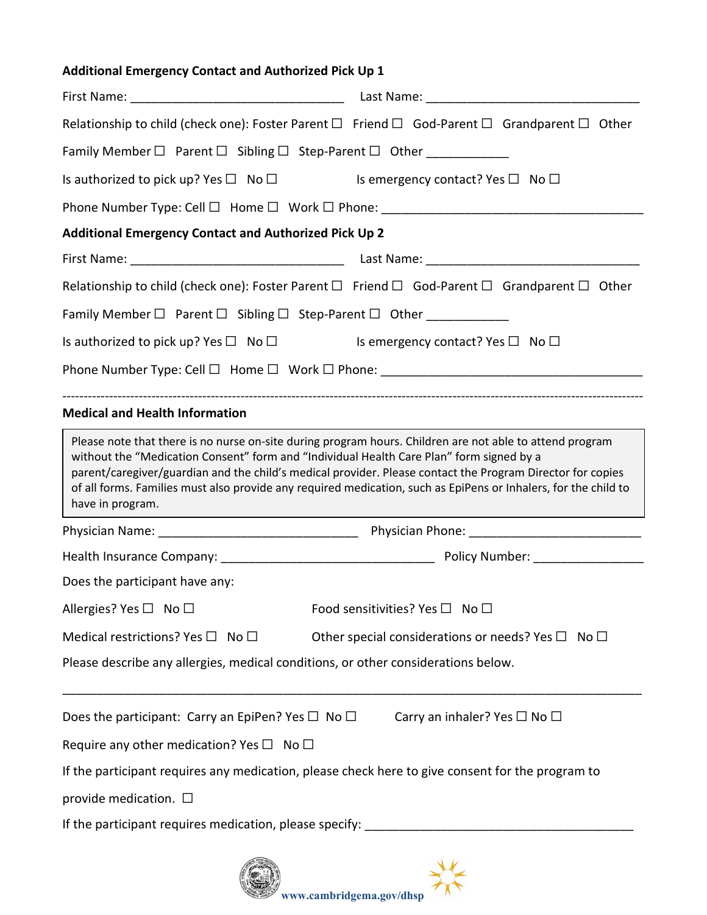# **Additional Emergency Contact and Authorized Pick Up 1** First Name: \_\_\_\_\_\_\_\_\_\_\_\_\_\_\_\_\_\_\_\_\_\_\_\_\_\_\_\_\_\_\_ Last Name: \_\_\_\_\_\_\_\_\_\_\_\_\_\_\_\_\_\_\_\_\_\_\_\_\_\_\_\_\_\_\_ Relationship to child (check one): Foster Parent  $\square$  Friend  $\square$  God-Parent  $\square$  Grandparent  $\square$  Other Family Member  $\Box$  Parent  $\Box$  Sibling  $\Box$  Step-Parent  $\Box$  Other Is authorized to pick up? Yes □ No □ Is emergency contact? Yes □ No □ Phone Number Type: Cell  $\Box$  Home  $\Box$  Work  $\Box$  Phone: **Additional Emergency Contact and Authorized Pick Up 2** First Name: \_\_\_\_\_\_\_\_\_\_\_\_\_\_\_\_\_\_\_\_\_\_\_\_\_\_\_\_\_\_\_ Last Name: \_\_\_\_\_\_\_\_\_\_\_\_\_\_\_\_\_\_\_\_\_\_\_\_\_\_\_\_\_\_\_ Relationship to child (check one): Foster Parent  $\Box$  Friend  $\Box$  God-Parent  $\Box$  Grandparent  $\Box$  Other Family Member  $\Box$  Parent  $\Box$  Sibling  $\Box$  Step-Parent  $\Box$  Other \_\_\_\_\_\_\_\_\_\_\_\_\_ Is authorized to pick up? Yes  $\Box$  No  $\Box$  Is emergency contact? Yes  $\Box$  No  $\Box$ Phone Number Type: Cell  $\square$  Home  $\square$  Work  $\square$  Phone: ----------------------------------------------------------------------------------------------------------------------------------------- **Medical and Health Information** Physician Name: \_\_\_\_\_\_\_\_\_\_\_\_\_\_\_\_\_\_\_\_\_\_\_\_\_\_\_\_\_ Physician Phone: \_\_\_\_\_\_\_\_\_\_\_\_\_\_\_\_\_\_\_\_\_\_\_\_\_ Health Insurance Company: \_\_\_\_\_\_\_\_\_\_\_\_\_\_\_\_\_\_\_\_\_\_\_\_\_\_\_\_\_\_\_ Policy Number: \_\_\_\_\_\_\_\_\_\_\_\_\_\_\_\_ Does the participant have any: Allergies? Yes □ No □ The Solution of Solution Sensitivities? Yes □ No □ Medical restrictions? Yes  $\square$  No  $\square$  Other special considerations or needs? Yes  $\square$  No  $\square$ Please describe any allergies, medical conditions, or other considerations below. \_\_\_\_\_\_\_\_\_\_\_\_\_\_\_\_\_\_\_\_\_\_\_\_\_\_\_\_\_\_\_\_\_\_\_\_\_\_\_\_\_\_\_\_\_\_\_\_\_\_\_\_\_\_\_\_\_\_\_\_\_\_\_\_\_\_\_\_\_\_\_\_\_\_\_\_\_\_\_\_\_\_\_\_ Does the participant: Carry an EpiPen? Yes  $\Box$  No  $\Box$  Carry an inhaler? Yes  $\Box$  No  $\Box$ Require any other medication? Yes  $\Box$  No  $\Box$ If the participant requires any medication, please check here to give consent for the program to provide medication.  $\square$ If the participant requires medication, please specify: \_\_\_\_\_\_\_\_\_\_\_\_\_\_\_\_\_\_\_\_\_\_\_\_ Please note that there is no nurse on-site during program hours. Children are not able to attend program without the "Medication Consent" form and "Individual Health Care Plan" form signed by a parent/caregiver/guardian and the child's medical provider. Please contact the Program Director for copies of all forms. Families must also provide any required medication, such as EpiPens or Inhalers, for the child to have in program.

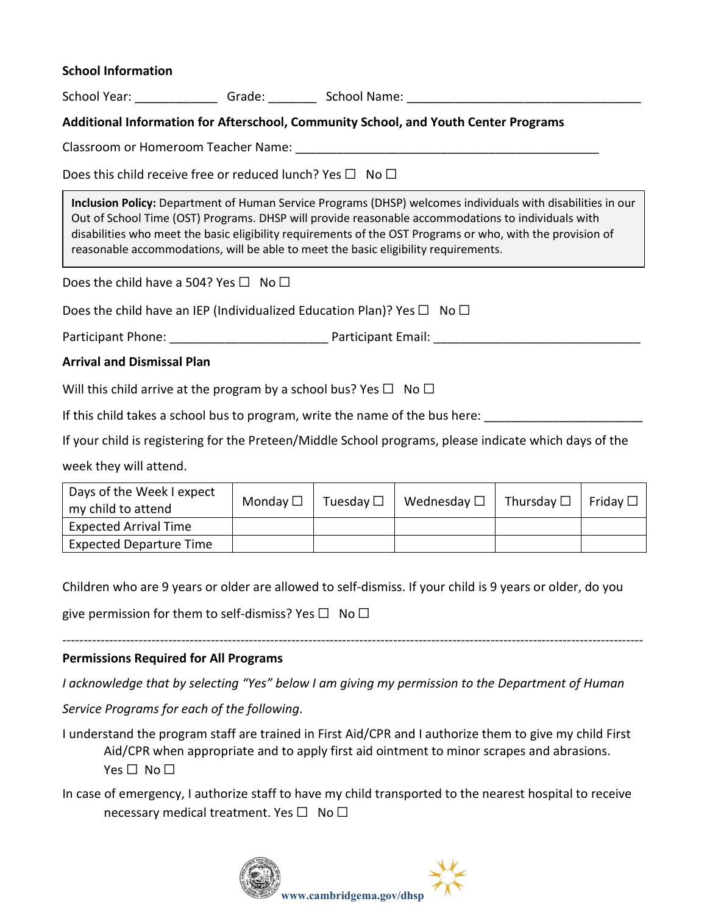#### **School Information**

School Year: etc. Crade: Communication School Name: communication of the School Name:

## **Additional Information for Afterschool, Community School, and Youth Center Programs**

Classroom or Homeroom Teacher Name:  $\Box$ 

Does this child receive free or reduced lunch? Yes  $\Box$  No  $\Box$ 

**Inclusion Policy:** Department of Human Service Programs (DHSP) welcomes individuals with disabilities in our Out of School Time (OST) Programs. DHSP will provide reasonable accommodations to individuals with disabilities who meet the basic eligibility requirements of the OST Programs or who, with the provision of reasonable accommodations, will be able to meet the basic eligibility requirements.

Does the child have a 504? Yes  $\Box$  No  $\Box$ 

Does the child have an IEP (Individualized Education Plan)? Yes  $\Box$  No  $\Box$ 

Participant Phone: \_\_\_\_\_\_\_\_\_\_\_\_\_\_\_\_\_\_\_\_\_\_\_ Participant Email: \_\_\_\_\_\_\_\_\_\_\_\_\_\_\_\_\_\_\_\_\_\_\_\_\_\_\_\_\_\_

**Arrival and Dismissal Plan**

Will this child arrive at the program by a school bus? Yes  $\Box$  No  $\Box$ 

If this child takes a school bus to program, write the name of the bus here:

If your child is registering for the Preteen/Middle School programs, please indicate which days of the

week they will attend.

| Days of the Week I expect<br>my child to attend | Monday $\square$ | Tuesday $\square$ | $^{\prime}~$ Wednesday $\Box~\vert~$ Thursday $\Box~\vert~$ Friday $\Box~$ |  |
|-------------------------------------------------|------------------|-------------------|----------------------------------------------------------------------------|--|
| <b>Expected Arrival Time</b>                    |                  |                   |                                                                            |  |
| <b>Expected Departure Time</b>                  |                  |                   |                                                                            |  |

Children who are 9 years or older are allowed to self-dismiss. If your child is 9 years or older, do you

give permission for them to self-dismiss? Yes  $\Box$  No  $\Box$ 

#### **Permissions Required for All Programs**

*I acknowledge that by selecting "Yes" below I am giving my permission to the Department of Human* 

-----------------------------------------------------------------------------------------------------------------------------------------

*Service Programs for each of the following*.

I understand the program staff are trained in First Aid/CPR and I authorize them to give my child First Aid/CPR when appropriate and to apply first aid ointment to minor scrapes and abrasions. Yes □ No □

In case of emergency, I authorize staff to have my child transported to the nearest hospital to receive necessary medical treatment. Yes  $\square$  No  $\square$ 

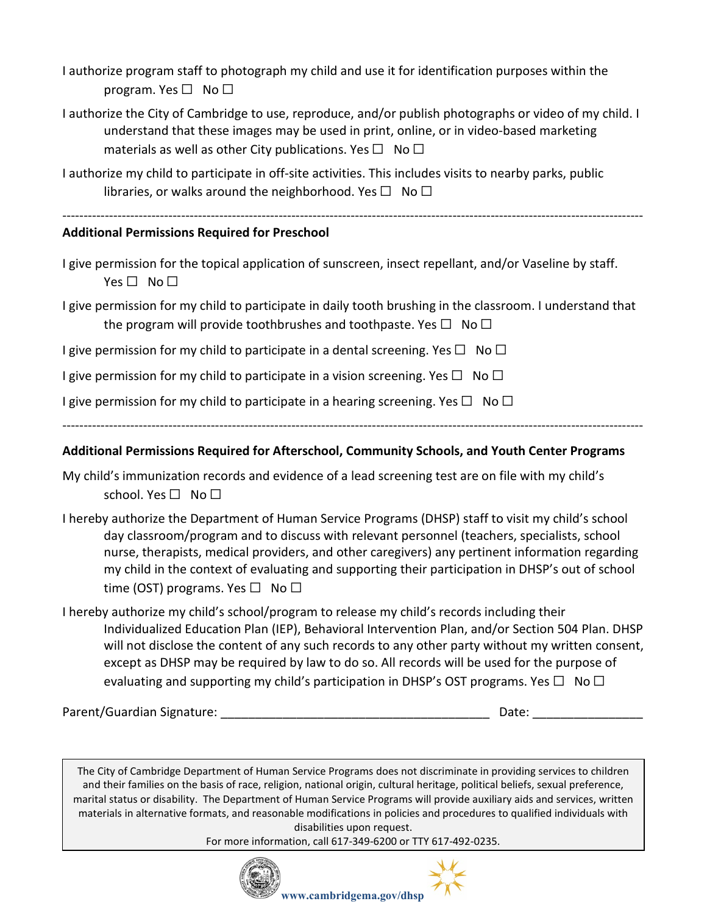I authorize program staff to photograph my child and use it for identification purposes within the program. Yes  $\square$  No  $\square$ 

- I authorize the City of Cambridge to use, reproduce, and/or publish photographs or video of my child. I understand that these images may be used in print, online, or in video-based marketing materials as well as other City publications. Yes  $\Box$  No  $\Box$
- I authorize my child to participate in off-site activities. This includes visits to nearby parks, public libraries, or walks around the neighborhood. Yes  $\square$  No  $\square$

-----------------------------------------------------------------------------------------------------------------------------------------

# **Additional Permissions Required for Preschool**

I give permission for the topical application of sunscreen, insect repellant, and/or Vaseline by staff. Yes □ No □

I give permission for my child to participate in daily tooth brushing in the classroom. I understand that the program will provide toothbrushes and toothpaste. Yes  $\Box$  No  $\Box$ 

I give permission for my child to participate in a dental screening. Yes  $\square$  No  $\square$ 

I give permission for my child to participate in a vision screening. Yes  $\Box$  No  $\Box$ 

I give permission for my child to participate in a hearing screening. Yes  $\Box$  No  $\Box$ 

-----------------------------------------------------------------------------------------------------------------------------------------

# **Additional Permissions Required for Afterschool, Community Schools, and Youth Center Programs**

- My child's immunization records and evidence of a lead screening test are on file with my child's school. Yes □ No □
- I hereby authorize the Department of Human Service Programs (DHSP) staff to visit my child's school day classroom/program and to discuss with relevant personnel (teachers, specialists, school nurse, therapists, medical providers, and other caregivers) any pertinent information regarding my child in the context of evaluating and supporting their participation in DHSP's out of school time (OST) programs. Yes  $\Box$  No  $\Box$
- I hereby authorize my child's school/program to release my child's records including their Individualized Education Plan (IEP), Behavioral Intervention Plan, and/or Section 504 Plan. DHSP will not disclose the content of any such records to any other party without my written consent, except as DHSP may be required by law to do so. All records will be used for the purpose of evaluating and supporting my child's participation in DHSP's OST programs. Yes  $\Box$  No  $\Box$

Parent/Guardian Signature: etc. and the set of the set of the set of the set of the set of the set of the set o

The City of Cambridge Department of Human Service Programs does not discriminate in providing services to children and their families on the basis of race, religion, national origin, cultural heritage, political beliefs, sexual preference, marital status or disability. The Department of Human Service Programs will provide auxiliary aids and services, written materials in alternative formats, and reasonable modifications in policies and procedures to qualified individuals with disabilities upon request.

For more information, call 617-349-6200 or TTY 617-492-0235.



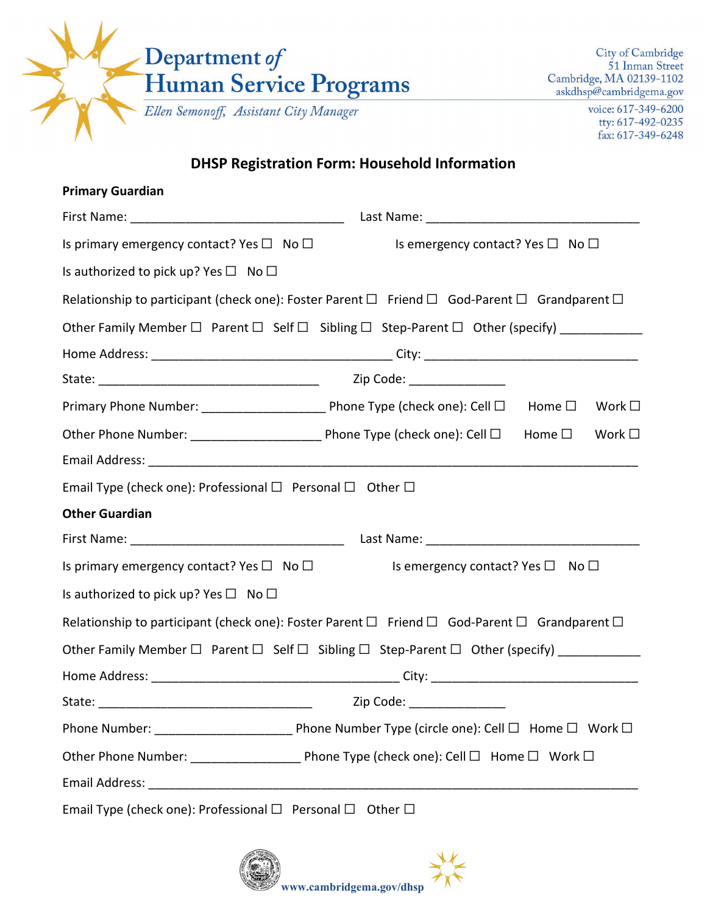

voice: 617-349-6200 tty: 617-492-0235 fax: 617-349-6248

# **DHSP Registration Form: Household Information**

| <b>Primary Guardian</b>                                                                                          |                                                        |                                  |  |
|------------------------------------------------------------------------------------------------------------------|--------------------------------------------------------|----------------------------------|--|
|                                                                                                                  |                                                        |                                  |  |
| Is primary emergency contact? Yes $\Box$ No $\Box$                                                               | Is emergency contact? Yes $\Box$ No $\Box$             |                                  |  |
| Is authorized to pick up? Yes $\Box$ No $\Box$                                                                   |                                                        |                                  |  |
| Relationship to participant (check one): Foster Parent $\Box$ Friend $\Box$ God-Parent $\Box$ Grandparent $\Box$ |                                                        |                                  |  |
| Other Family Member □ Parent □ Self □ Sibling □ Step-Parent □ Other (specify) __________                         |                                                        |                                  |  |
|                                                                                                                  |                                                        |                                  |  |
|                                                                                                                  | Zip Code: _________________                            |                                  |  |
| Primary Phone Number: __________________________ Phone Type (check one): Cell □                                  |                                                        | Home $\Box$<br>Work $\square$    |  |
|                                                                                                                  |                                                        | Home $\square$<br>Work $\square$ |  |
|                                                                                                                  |                                                        |                                  |  |
| Email Type (check one): Professional $\Box$ Personal $\Box$ Other $\Box$                                         |                                                        |                                  |  |
| <b>Other Guardian</b>                                                                                            |                                                        |                                  |  |
|                                                                                                                  |                                                        |                                  |  |
| Is primary emergency contact? Yes $\square$ No $\square$                                                         | Is emergency contact? Yes $\square$ No $\square$       |                                  |  |
| Is authorized to pick up? Yes $\Box$ No $\Box$                                                                   |                                                        |                                  |  |
| Relationship to participant (check one): Foster Parent $\Box$ Friend $\Box$ God-Parent $\Box$ Grandparent $\Box$ |                                                        |                                  |  |
| Other Family Member $\Box$ Parent $\Box$ Self $\Box$ Sibling $\Box$ Step-Parent $\Box$ Other (specify)           |                                                        |                                  |  |
|                                                                                                                  |                                                        |                                  |  |
| State:                                                                                                           | __________________________   Zip Code: _______________ |                                  |  |
|                                                                                                                  |                                                        |                                  |  |
|                                                                                                                  |                                                        |                                  |  |
|                                                                                                                  |                                                        |                                  |  |
| Email Type (check one): Professional □ Personal □ Other □                                                        |                                                        |                                  |  |